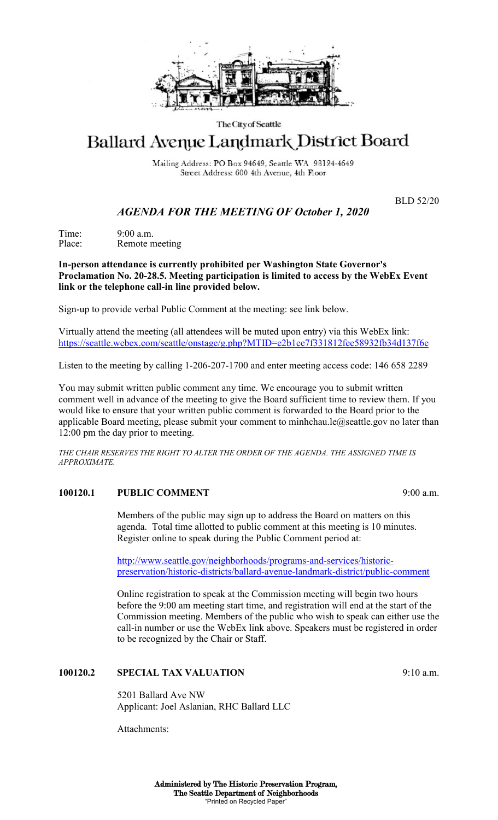

#### The City of Seattle

# Ballard Avenue Landmark District Board

Mailing Address: PO Box 94649, Seattle WA 98124-4649 Street Address: 600 4th Avenue, 4th Floor

BLD 52/20

## *AGENDA FOR THE MEETING OF October 1, 2020*

Time: 9:00 a.m.<br>Place: Remote n Remote meeting

**In-person attendance is currently prohibited per Washington State Governor's Proclamation No. 20-28.5. Meeting participation is limited to access by the WebEx Event link or the telephone call-in line provided below.** 

Sign-up to provide verbal Public Comment at the meeting: see link below.

Virtually attend the meeting (all attendees will be muted upon entry) via this WebEx link: <https://seattle.webex.com/seattle/onstage/g.php?MTID=e2b1ee7f331812fee58932fb34d137f6e>

Listen to the meeting by calling 1-206-207-1700 and enter meeting access code: 146 658 2289

You may submit written public comment any time. We encourage you to submit written comment well in advance of the meeting to give the Board sufficient time to review them. If you would like to ensure that your written public comment is forwarded to the Board prior to the applicable Board meeting, please submit your comment to minhchau.le@seattle.gov no later than 12:00 pm the day prior to meeting.

*THE CHAIR RESERVES THE RIGHT TO ALTER THE ORDER OF THE AGENDA. THE ASSIGNED TIME IS APPROXIMATE.*

#### **100120.1 PUBLIC COMMENT** 9:00 a.m.

Members of the public may sign up to address the Board on matters on this agenda. Total time allotted to public comment at this meeting is 10 minutes. Register online to speak during the Public Comment period at:

[http://www.seattle.gov/neighborhoods/programs-and-services/historic](http://www.seattle.gov/neighborhoods/programs-and-services/historic-preservation/historic-districts/ballard-avenue-landmark-district/public-comment)[preservation/historic-districts/ballard-avenue-landmark-district/public-comment](http://www.seattle.gov/neighborhoods/programs-and-services/historic-preservation/historic-districts/ballard-avenue-landmark-district/public-comment)

Online registration to speak at the Commission meeting will begin two hours before the 9:00 am meeting start time, and registration will end at the start of the Commission meeting. Members of the public who wish to speak can either use the call-in number or use the WebEx link above. Speakers must be registered in order to be recognized by the Chair or Staff.

#### **100120.2 SPECIAL TAX VALUATION** 9:10 a.m.

5201 Ballard Ave NW Applicant: Joel Aslanian, RHC Ballard LLC

Attachments: